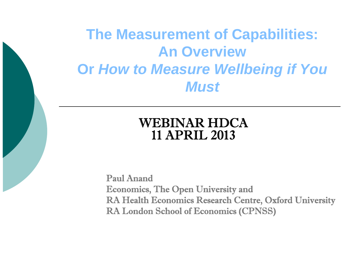**The Measurement of Capabilities: An OverviewOr** *How to Measure Wellbeing if You Must*

### WEBINAR HDCA11 APRIL 2013

Paul AnandEconomics, The Open University and RA Health Economics Research Centre, Oxford University RA London School of Economics (CPNSS)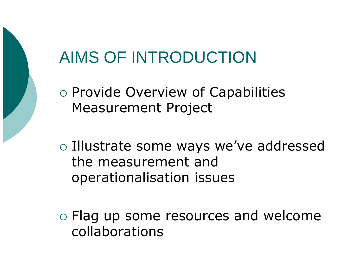# AIMS OF INTRODUCTION

- o Provide Overview of Capabilities Measurement Project
- o Illustrate some ways we've addressed the measurement and operationalisation issues
- $\circ$  Flag up some resources and welcome collaborations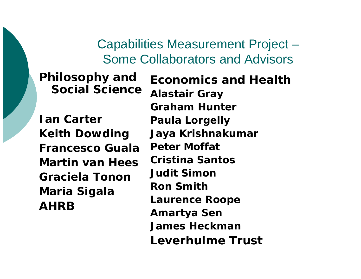### Capabilities Measurement Project – Some Collaborators and Advisors

**Ian CarterKeith Dowding Francesco GualaMartin van HeesGraciela TononMaria Sigala AHRB**

**Philosophy and** 

**S i l S iSocial cience**

**Economics and HealthAlastair Gray Graham HunterPaula Lorgelly Jaya Krishnakumar Peter Moffat C <sup>i</sup> ti S <sup>t</sup> ristina SantosJudit SimonRon Smith Laurence Roope Amartya Sen James HeckmanLeverhulme Trust**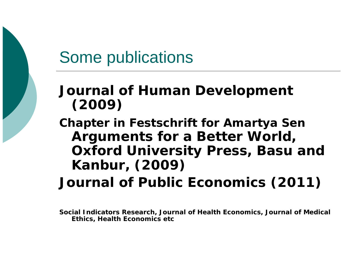### Some publications

### *J l f H D l t Journal of Human Development* **(2009)**

**Chapter in Festschrift for Amartya Sen** *Arguments for a Better World***, Oxford University Press, Basu and Kanbur, (2009)**

*Journal of Public Economics (2011)*

**Social Indicators Research, Journal of Health Economics, Journal of Medical Ethics, Health Economics etc**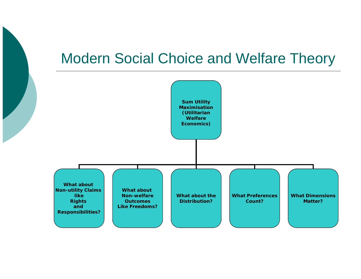### Modern Social Choice and Welfare Theory

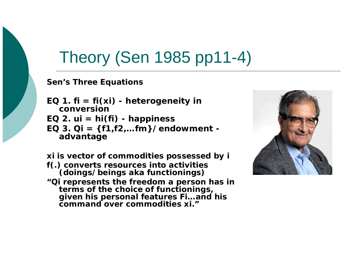### Theory (Sen 1985 pp11-4)

#### **Sen's Three Equations**

**EQ 1. fi =**  *f***i(xi) - heterogeneity in conversionE Q 2. ui <sup>=</sup>** *h***i( ) fi - happiness EQ 3. Qi = {f1,f2,…fm}/endowment advantage**

**xi is vector of commodities possessed by i** *f***(.) converts resources into activities (doings/beings aka functionings) "Qi represents the freedom a person has in**  terms of the choice of functionings, **given his personal features Fi…and his command over commodities xi."**

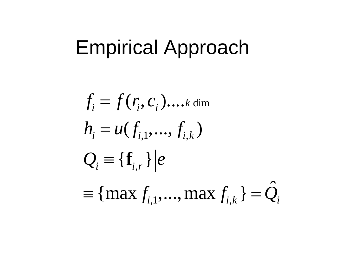# Empirical Approach

 $f_{i}$  $= f(r_i, c)$ *<sup>i</sup>*).... *k* dim  $h_i = u(f_{i,1},...,f_{i,k})$  $=\boldsymbol{u}$  $f_{i,1},...,f_{i,k}$  $Q_i \equiv \{\mathbf{f}_{i,r}\} | e$  $\equiv \{\mathbf{I}_{i,r}$ ≡ { m a x *f*  $f_{i,1},..., \max f_{i,k}$ } =  $\hat{Q}$  $=\bm{\mathcal{Q}}_i$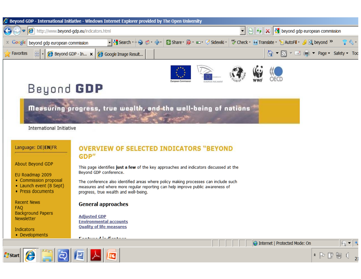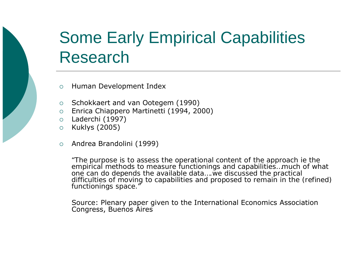# Some Early Empirical Capabilities Research

- $\circ$ Human Development Index
- $\circ$  Schokkaert and van Ootegem (1990)
- $\circ$  Enrica Chiappero Martinetti (1994, 2000)
- $\circ$ Laderchi (1997)
- $\circ$ Kuklys (2005)
- $\circ$ Andrea Brandolini (1999)

*"The purpose is to assess the operational content of the approach ie the empirical methods to measure functionings and capabilities…much of what one can do depends the available data….we discussed the practical difficulties of moving to capabilities and proposed to remain in the (refined) functionings space."*

Source: Plenary paper given to the International Economics Association Congress, Buenos Aires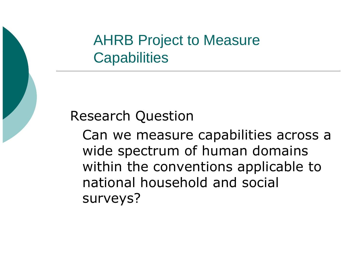AHRB Project to Measure **Capabilities** 



Can we measure capabilities across a wide s pectrum of human domains within the conventions applicable to national household and social surveys?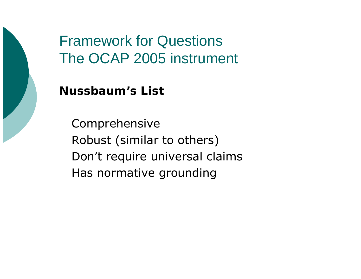### Framework for Questions The OCAP 2005 instrument

**N b ' Li Nussbaum's List**

Comprehensive Robust (similar to others) Don't require universal claims Has normative grounding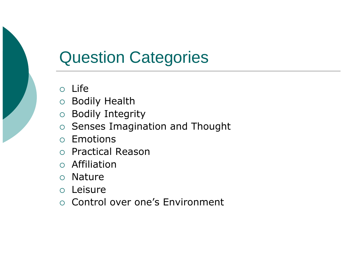# **Question Categories**

- $\circ$  Life
- O Bodily Health
- **Bodily Integrity**  $\bigcirc$
- Senses Imagination and Thought
- o Emotions
- o Practical Reason
- o Affiliation
- $\circ$  Nature
- o Leisure
- Control over one's Environment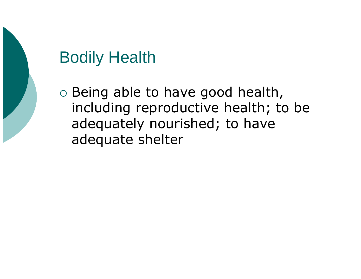# Bodily Health

 $\circ$  Being able to have good health, including reproductive health; to be adequately nourished; to have adequate shelter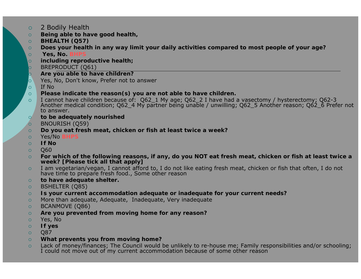- ${\circ}$ 2 Bodily Health
- $\circ$ *Being able to have good health,*
- $\circ$ **BHEALTH (Q57)**
- $\circ$ **Does your health in any way limit your daily activities compared to most people of your age?**
- $\circ$ Yes, No.
- $\overline{O}$ *including reproductive health;*
- $\circ$ BREPRODUCT (Q61)
- $\overline{\mathsf{Q}}$ **Are you able to have children?**
- $|_{\bigcirc}$ Yes, No, Don't know, Prefer not to answer
- $\circ$ If No
- $\Omega$ **Please indicate the reason(s) you are not able to have children.**
- $\Omega$ I cannot have children because of: Q62\_1 My age; Q62\_2 I have had a vasectomy / hysterectomy; Q62-3<br>Another medical condition; Q62\_4 My partner being unable / unwilling; Q62\_5 Another reason; Q62\_6 Prefer not to answer.
- $\circ$ *to be adequately nourished*
- $\circ$ BNOURISH (Q59)
- $\circ$ **Do you eat fresh meat, chicken or fish at least twice a week?**
- $\circ$ Yes/No **BHPS**
- $\circ$ **If No**
- $\Omega$ Q60
- $\circ$ For which of the following reasons, if any, do you NOT eat fresh meat, chicken or fish at least twice a week? [Please tick all that apply]
- $\circ$ I am vegetarian/vegan, I cannot afford to, I do not like eating fresh meat, chicken or fish that often, I do not have time to prepare fresh food., Some other reason
- $\circ$ *to have adequate shelter.*
- $\circ$ BSHELTER (Q85)
- $\circ$ Is your current accommodation adequate or inadequate for your current needs?
- $\Omega$ More than adequate, Adequate, Inadequate, Very inadequate
- $\circ$ BCANMOVE (Q86)
- $\circ$ **Are you prevented from moving home for any reason?**
- $\circ$ Yes, No
- $\circ$ **If yes**
- $\Omega$ Q87
- $\circ$ **What prevents you from moving home?**
- $\circ$ Lack of money/finances; The Council would be unlikely to re-house me; Family responsibilities and/or schooling;<br>I could not move out of my current accommodation because of some other reason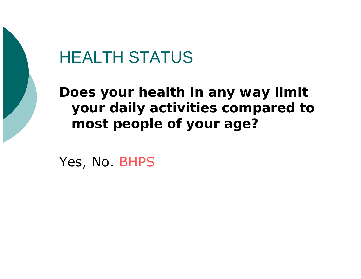### **HEALTH STATUS**

Does your health in any way limit your daily activities compared to most people of your age?

Yes, No. BHPS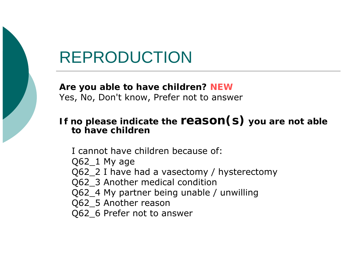### REPRODUCTION

**Are you able to have children? NEW** Yes, No, Don't know, Prefer not to answer

### **If no please indicate the reason(s) you are not able to have children**

I cannot have children because of: Q62\_1 My age Q62\_2 I have had a vasectomy / hysterectomy Q62\_3 Another medical condition Q62\_4 My partner being unable / unwilling Q62\_5 Another reason Q62\_6 Prefer not to answer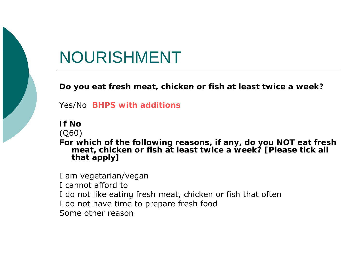# NOURISHMENT

**Do you eat fresh meat chicken or fish at least twice a week? meat, fish** 

Yes/No **BHPS with additions** 

**If No**

(Q60)

**For which of the following reasons, if any, do you NOT eat fresh meat, chicken or fish at least twice a week? [Please tick all that apply]**

I am vegetarian/vegan I cannot afford toI do not like eating fresh meat, chicken or fish that often I do not have time to prepare fresh food Some other reason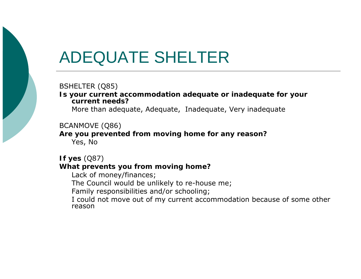### ADEQUATE SHELTER

BSHELTER (Q85)

**Is your current accommodation adequate or inadequate for your current needs?**

More than adequate, Adequate, Inadequate, Very inadequate

#### BCANMOVE (Q86)

**Are you prevented from moving home for any reason?** Yes, No

#### **If yes** (Q87) **What prevents you from moving home?**

Lack of money/finances;

The Council would be unlikely to re-house me;

Family responsibilities and/or schooling;

I could not move out of my current accommodation because of some other reason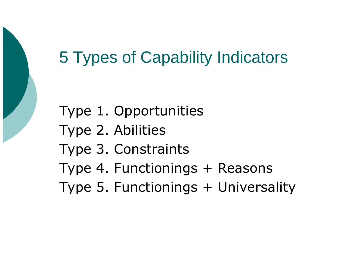### 5 Types of Capability Indicators

Type 1. Opportunities Type 2. Abilities Type 3. Constraints Type 4. Functionings + Reasons Type 5. Functionings + Universality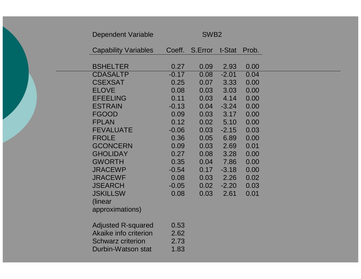| <b>Dependent Variable</b>                                                                            | SWB <sub>2</sub>             |         |         |       |
|------------------------------------------------------------------------------------------------------|------------------------------|---------|---------|-------|
| <b>Capability Variables</b>                                                                          | Coeff.                       | S.Error | t-Stat  | Prob. |
| <b>BSHELTER</b>                                                                                      | 0.27                         | 0.09    | 2.93    | 0.00  |
| <b>CDASALTP</b>                                                                                      | $-0.17$                      | 0.08    | $-2.01$ | 0.04  |
| <b>CSEXSAT</b>                                                                                       | 0.25                         | 0.07    | 3.33    | 0.00  |
| <b>ELOVE</b>                                                                                         | 0.08                         | 0.03    | 3.03    | 0.00  |
| <b>EFEELING</b>                                                                                      | 0.11                         | 0.03    | 4.14    | 0.00  |
| <b>ESTRAIN</b>                                                                                       | $-0.13$                      | 0.04    | $-3.24$ | 0.00  |
| <b>FGOOD</b>                                                                                         | 0.09                         | 0.03    | 3.17    | 0.00  |
| <b>FPLAN</b>                                                                                         | 0.12                         | 0.02    | 5.10    | 0.00  |
| <b>FEVALUATE</b>                                                                                     | $-0.06$                      | 0.03    | $-2.15$ | 0.03  |
| <b>FROLE</b>                                                                                         | 0.36                         | 0.05    | 6.89    | 0.00  |
| <b>GCONCERN</b>                                                                                      | 0.09                         | 0.03    | 2.69    | 0.01  |
| <b>GHOLIDAY</b>                                                                                      | 0.27                         | 0.08    | 3.28    | 0.00  |
| <b>GWORTH</b>                                                                                        | 0.35                         | 0.04    | 7.86    | 0.00  |
| <b>JRACEWP</b>                                                                                       | $-0.54$                      | 0.17    | $-3.18$ | 0.00  |
| <b>JRACEWF</b>                                                                                       | 0.08                         | 0.03    | 2.26    | 0.02  |
| <b>JSEARCH</b>                                                                                       | $-0.05$                      | 0.02    | $-2.20$ | 0.03  |
| <b>JSKILLSW</b>                                                                                      | 0.08                         | 0.03    | 2.61    | 0.01  |
| (linear                                                                                              |                              |         |         |       |
| approximations)                                                                                      |                              |         |         |       |
| <b>Adjusted R-squared</b><br>Akaike info criterion<br><b>Schwarz criterion</b><br>Durbin-Watson stat | 0.53<br>2.62<br>2.73<br>1.83 |         |         |       |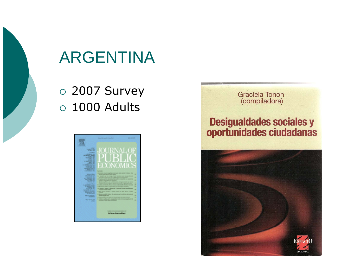

### ARGENTINA

 $\, \circ \,$  2007 Survey  $\, \circ \,$  1000 Adults



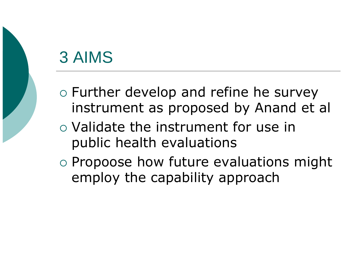# 3 AIMS

- $\circ$  Further develop and refine he survey instrument as proposed by Anand et al
- $\circ$  Validate the instrument for use in public health evaluations
- $\circ$  Propoose how future evaluations might employ the capability approach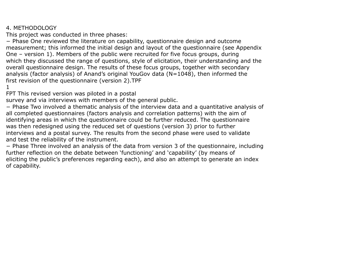#### 4. METHODOLOGY

This project was conducted in three phases:

<sup>−</sup> Phase One reviewed the literature on capability, questionnaire design and outcome measurement; this informed the initial design and layout of the questionnaire (see Appendix One – version 1). Members of the public were recruited for five focus groups, durin g which they discussed the range of questions, style of elicitation, their understanding and the overall questionnaire design. The results of these focus groups, together with secondary analysis (factor analysis) of Anand's original YouGov data (N=1048), then informed the first revision of the questionnaire (version 2).TPF

1

FPT This revised version was piloted in a postal

survey and via interviews with members of the general public.

<sup>−</sup> Phase Two involved a thematic analysis of the interview data and a quantitative analysis of all completed questionnaires (factors analysis and correlation patterns) with the aim of identifying areas in which the questionnaire could be further reduced. The questionnaire was then redesigned using the reduced set of questions (version 3) prior to further interviews and a postal survey. The results from the second phase were used to validate and test the reliability of the instrument.

<sup>−</sup> Phase Three involved an analysis of the data from version 3 of the questionnaire, including further reflection on the debate between 'functioning' and 'capability' (by means of eliciting the public's preferences regarding each), and also an attempt to generate an index of capability.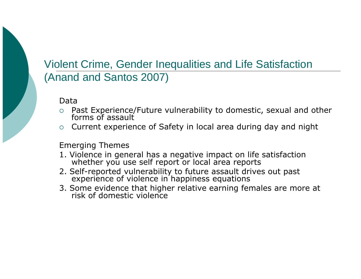### Violent Crime, Gender Inequalities and Life Satisfaction (Anand and Santos 2007)

Data

- $\circ$ Past Experience/Future vulnerability to domestic, sexual and other forms of assault
- $\circ$  Current experience of Safety in local area during day and night

Emerging Themes

- 1. Violence in general has a negative impact on life satisfaction whether you use self report or local area reports
- 2. Self-reported vulnerability to future assault drives out past experience of violence in happiness equations
- 3. Some evidence that higher relative earning females are more at<br>risk of domestic violence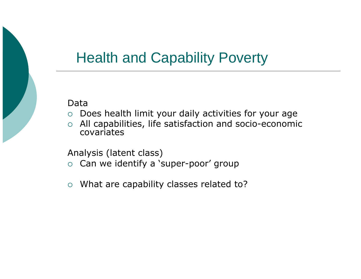### Health and Capability Poverty

Data

- ${\circ}$ Does health limit your daily activities for your age
- ${\bigcirc}$  $\circ$  All capabilities, life satisfaction and socio-economic covariates

Analysis (latent class)

- $\circ$  Can we identify a 'super-poor' group
- ${\circ}$ What are capability classes related to?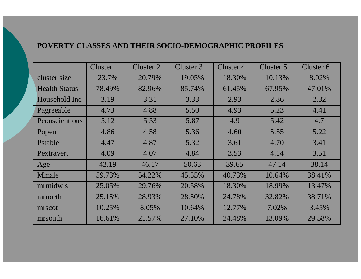#### **POVERTY CLASSES AND THEIR SOCIO-DEMOGRAPHIC PROFILES**

|                      | Cluster 1 | Cluster 2 | Cluster 3 | Cluster 4 | Cluster 5 | Cluster 6 |
|----------------------|-----------|-----------|-----------|-----------|-----------|-----------|
| cluster size         | 23.7%     | 20.79%    | 19.05%    | 18.30%    | 10.13%    | 8.02%     |
| <b>Health Status</b> | 78.49%    | 82.96%    | 85.74%    | 61.45%    | 67.95%    | 47.01%    |
| Household Inc        | 3.19      | 3.31      | 3.33      | 2.93      | 2.86      | 2.32      |
| Pagreeable           | 4.73      | 4.88      | 5.50      | 4.93      | 5.23      | 4.41      |
| Pconscientious       | 5.12      | 5.53      | 5.87      | 4.9       | 5.42      | 4.7       |
| Popen                | 4.86      | 4.58      | 5.36      | 4.60      | 5.55      | 5.22      |
| Pstable              | 4.47      | 4.87      | 5.32      | 3.61      | 4.70      | 3.41      |
| Pextravert           | 4.09      | 4.07      | 4.84      | 3.53      | 4.14      | 3.51      |
| Age                  | 42.19     | 46.17     | 50.63     | 39.65     | 47.14     | 38.14     |
| Mmale                | 59.73%    | 54.22%    | 45.55%    | 40.73%    | 10.64%    | 38.41%    |
| mrmidwls             | 25.05%    | 29.76%    | 20.58%    | 18.30%    | 18.99%    | 13.47%    |
| mrnorth              | 25.15%    | 28.93%    | 28.50%    | 24.78%    | 32.82%    | 38.71%    |
| mrscot               | 10.25%    | 8.05%     | 10.64%    | 12.77%    | 7.02%     | 3.45%     |
| mrsouth              | 16.61%    | 21.57%    | 27.10%    | 24.48%    | 13.09%    | 29.58%    |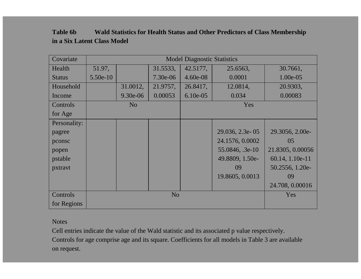| <b>Table 6b</b>             | Wald Statistics for Health Status and Other Predictors of Class Membership |
|-----------------------------|----------------------------------------------------------------------------|
| in a Six Latent Class Model |                                                                            |

| Covariate     | <b>Model Diagnostic Statistics</b> |                |            |             |                 |                  |  |
|---------------|------------------------------------|----------------|------------|-------------|-----------------|------------------|--|
| Health        | 51.97,                             |                | 31.5533,   | 42.5177,    | 25.6563,        | 30.7661,         |  |
| <b>Status</b> | 5.50e-10                           |                | $7.30e-06$ | $4.60e-08$  | 0.0001          | 1.00e-05         |  |
| Household     |                                    | 31.0012,       | 21.9757,   | 26.8417,    | 12.0814,        | 20.9303,         |  |
| Income        |                                    | 9.30e-06       | 0.00053    | $6.10e-0.5$ | 0.034           | 0.00083          |  |
| Controls      |                                    | N <sub>o</sub> |            |             | Yes             |                  |  |
| for Age       |                                    |                |            |             |                 |                  |  |
| Personality:  |                                    |                |            |             |                 |                  |  |
| pagree        |                                    |                |            |             | 29.036, 2.3e-05 | 29.3056, 2.00e-  |  |
| pconsc        |                                    |                |            |             | 24.1576, 0.0002 | 05               |  |
| popen         |                                    |                |            |             | 55.0846, .3e-10 | 21.8305, 0.00056 |  |
| pstable       |                                    |                |            |             | 49.8809, 1.50e- | 60.14, 1.10e-11  |  |
| pxtravt       |                                    |                |            |             | 09              | 50.2556, 1.20e-  |  |
|               |                                    |                |            |             | 19.8605, 0.0013 | 09               |  |
|               |                                    |                |            |             |                 | 24.708, 0.00016  |  |
| Controls      | N <sub>o</sub>                     |                |            |             |                 | Yes              |  |
| for Regions   |                                    |                |            |             |                 |                  |  |

#### **Notes**

Cell entries indicate the value of the Wald statistic and its associated p value respectively. Controls for age comprise age and its square. Coefficients for all models in Table 3 are available on request.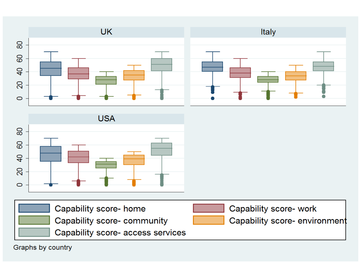

Capability score- access services

Capability score- home

Capability score- community

Capability score- work

Capability score- environment

Graphs by country